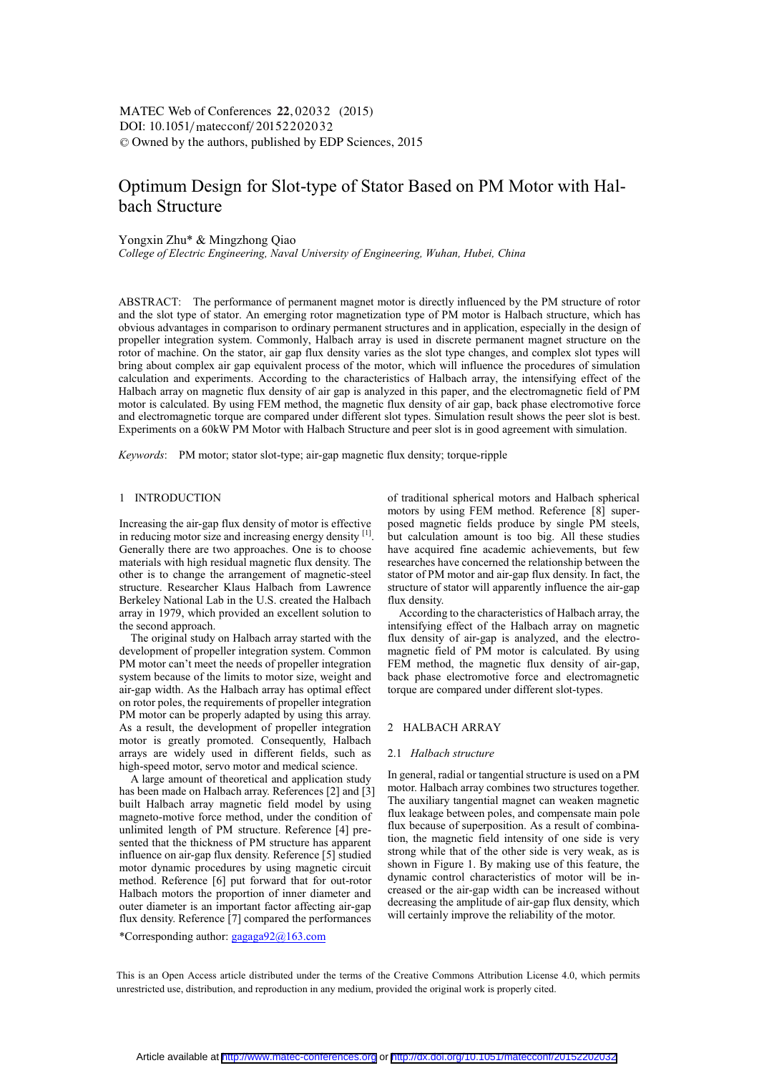## $\text{DOI: } 10.1051/\text{mategorf}/20152202032$ -<sup>C</sup> Owned by the authors, published by EDP Sciences, 2015 MATEC Web of Conferences 22,02032 (2015)

# Optimum Design for Slot-type of Stator Based on PM Motor with Halbach Structure

## Yongxin Zhu\* & Mingzhong Qiao

*College of Electric Engineering, Naval University of Engineering, Wuhan, Hubei, China* 

ABSTRACT: The performance of permanent magnet motor is directly influenced by the PM structure of rotor and the slot type of stator. An emerging rotor magnetization type of PM motor is Halbach structure, which has obvious advantages in comparison to ordinary permanent structures and in application, especially in the design of propeller integration system. Commonly, Halbach array is used in discrete permanent magnet structure on the rotor of machine. On the stator, air gap flux density varies as the slot type changes, and complex slot types will bring about complex air gap equivalent process of the motor, which will influence the procedures of simulation calculation and experiments. According to the characteristics of Halbach array, the intensifying effect of the Halbach array on magnetic flux density of air gap is analyzed in this paper, and the electromagnetic field of PM motor is calculated. By using FEM method, the magnetic flux density of air gap, back phase electromotive force and electromagnetic torque are compared under different slot types. Simulation result shows the peer slot is best. Experiments on a 60kW PM Motor with Halbach Structure and peer slot is in good agreement with simulation.

*Keywords*: PM motor; stator slot-type; air-gap magnetic flux density; torque-ripple

## 1 INTRODUCTION

Increasing the air-gap flux density of motor is effective in reducing motor size and increasing energy density [1]. Generally there are two approaches. One is to choose materials with high residual magnetic flux density. The other is to change the arrangement of magnetic-steel structure. Researcher Klaus Halbach from Lawrence Berkeley National Lab in the U.S. created the Halbach array in 1979, which provided an excellent solution to the second approach.

The original study on Halbach array started with the development of propeller integration system. Common PM motor can't meet the needs of propeller integration system because of the limits to motor size, weight and air-gap width. As the Halbach array has optimal effect on rotor poles, the requirements of propeller integration PM motor can be properly adapted by using this array. As a result, the development of propeller integration motor is greatly promoted. Consequently, Halbach arrays are widely used in different fields, such as high-speed motor, servo motor and medical science.

A large amount of theoretical and application study has been made on Halbach array. References [2] and [3] built Halbach array magnetic field model by using magneto-motive force method, under the condition of unlimited length of PM structure. Reference [4] presented that the thickness of PM structure has apparent influence on air-gap flux density. Reference [5] studied motor dynamic procedures by using magnetic circuit method. Reference [6] put forward that for out-rotor Halbach motors the proportion of inner diameter and outer diameter is an important factor affecting air-gap flux density. Reference [7] compared the performances

of traditional spherical motors and Halbach spherical motors by using FEM method. Reference [8] superposed magnetic fields produce by single PM steels, but calculation amount is too big. All these studies have acquired fine academic achievements, but few researches have concerned the relationship between the stator of PM motor and air-gap flux density. In fact, the structure of stator will apparently influence the air-gap flux density.

According to the characteristics of Halbach array, the intensifying effect of the Halbach array on magnetic flux density of air-gap is analyzed, and the electromagnetic field of PM motor is calculated. By using FEM method, the magnetic flux density of air-gap, back phase electromotive force and electromagnetic torque are compared under different slot-types.

## 2 HALBACH ARRAY

#### 2.1 *Halbach structure*

In general, radial or tangential structure is used on a PM motor. Halbach array combines two structures together. The auxiliary tangential magnet can weaken magnetic flux leakage between poles, and compensate main pole flux because of superposition. As a result of combination, the magnetic field intensity of one side is very strong while that of the other side is very weak, as is shown in Figure 1. By making use of this feature, the dynamic control characteristics of motor will be increased or the air-gap width can be increased without decreasing the amplitude of air-gap flux density, which will certainly improve the reliability of the motor.

\*Corresponding author: gagaga92@163.com

This is an Open Access article distributed under the terms of the Creative Commons Attribution License 4.0, which permits unrestricted use, distribution, and reproduction in any medium, provided the original work is properly cited.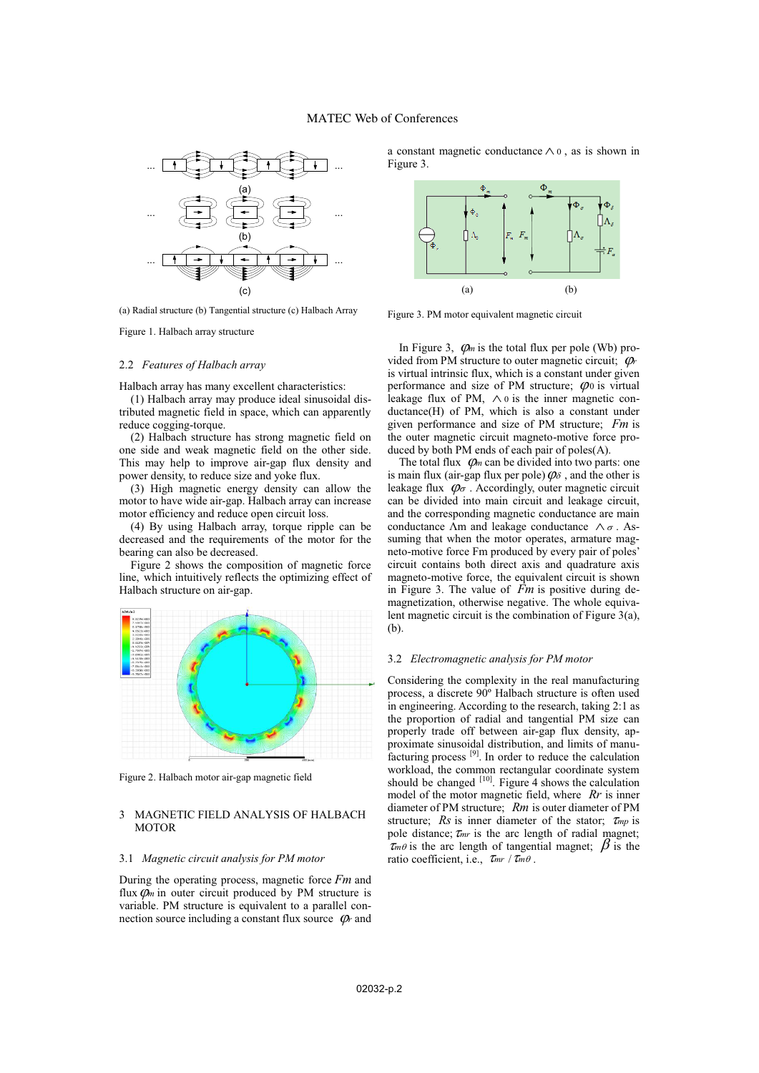

(a) Radial structure (b) Tangential structure (c) Halbach Array

Figure 1. Halbach array structure

#### 2.2 *Features of Halbach array*

Halbach array has many excellent characteristics:

(1) Halbach array may produce ideal sinusoidal distributed magnetic field in space, which can apparently reduce cogging-torque.

(2) Halbach structure has strong magnetic field on one side and weak magnetic field on the other side. This may help to improve air-gap flux density and power density, to reduce size and yoke flux.

(3) High magnetic energy density can allow the motor to have wide air-gap. Halbach array can increase motor efficiency and reduce open circuit loss.

(4) By using Halbach array, torque ripple can be decreased and the requirements of the motor for the bearing can also be decreased.

Figure 2 shows the composition of magnetic force line, which intuitively reflects the optimizing effect of Halbach structure on air-gap.



Figure 2. Halbach motor air-gap magnetic field

#### 3 MAGNETIC FIELD ANALYSIS OF HALBACH **MOTOR**

## 3.1 *Magnetic circuit analysis for PM motor*

During the operating process, magnetic force *Fm* and flux  $\varphi_m$  in outer circuit produced by PM structure is variable. PM structure is equivalent to a parallel connection source including a constant flux source  $\varphi$  and a constant magnetic conductance  $\wedge$  0, as is shown in Figure 3.



Figure 3. PM motor equivalent magnetic circuit

In Figure 3,  $\varphi$ <sub>m</sub> is the total flux per pole (Wb) provided from PM structure to outer magnetic circuit;  $\varphi$ is virtual intrinsic flux, which is a constant under given performance and size of PM structure;  $\varphi$ <sup>0</sup> is virtual leakage flux of PM,  $\wedge$  0 is the inner magnetic conductance(H) of PM, which is also a constant under given performance and size of PM structure; *Fm* is the outer magnetic circuit magneto-motive force produced by both PM ends of each pair of poles(A).

The total flux  $\varphi_m$  can be divided into two parts: one is main flux (air-gap flux per pole)  $\varphi$ <sup> $\delta$ </sup>, and the other is leakage flux  $\varphi$ . Accordingly, outer magnetic circuit can be divided into main circuit and leakage circuit, and the corresponding magnetic conductance are main conductance  $\Lambda$ m and leakage conductance  $\Lambda \sigma$ . Assuming that when the motor operates, armature magneto-motive force Fm produced by every pair of poles' circuit contains both direct axis and quadrature axis magneto-motive force, the equivalent circuit is shown in Figure 3. The value of *Fm* is positive during demagnetization, otherwise negative. The whole equivalent magnetic circuit is the combination of Figure 3(a), (b).

#### 3.2 *Electromagnetic analysis for PM motor*

Considering the complexity in the real manufacturing process, a discrete 90º Halbach structure is often used in engineering. According to the research, taking 2:1 as the proportion of radial and tangential PM size can properly trade off between air-gap flux density, approximate sinusoidal distribution, and limits of manufacturing process [9]. In order to reduce the calculation workload, the common rectangular coordinate system should be changed  $[10]$ . Figure 4 shows the calculation model of the motor magnetic field, where *Rr* is inner diameter of PM structure; *Rm* is outer diameter of PM structure; *Rs* is inner diameter of the stator;  $\tau_{mp}$  is pole distance;  $\tau_{mr}$  is the arc length of radial magnet;  $\tau_{m\theta}$  is the arc length of tangential magnet;  $\beta$  is the ratio coefficient, i.e.,  $\tau_{mr}$  /  $\tau_{m}\theta$ .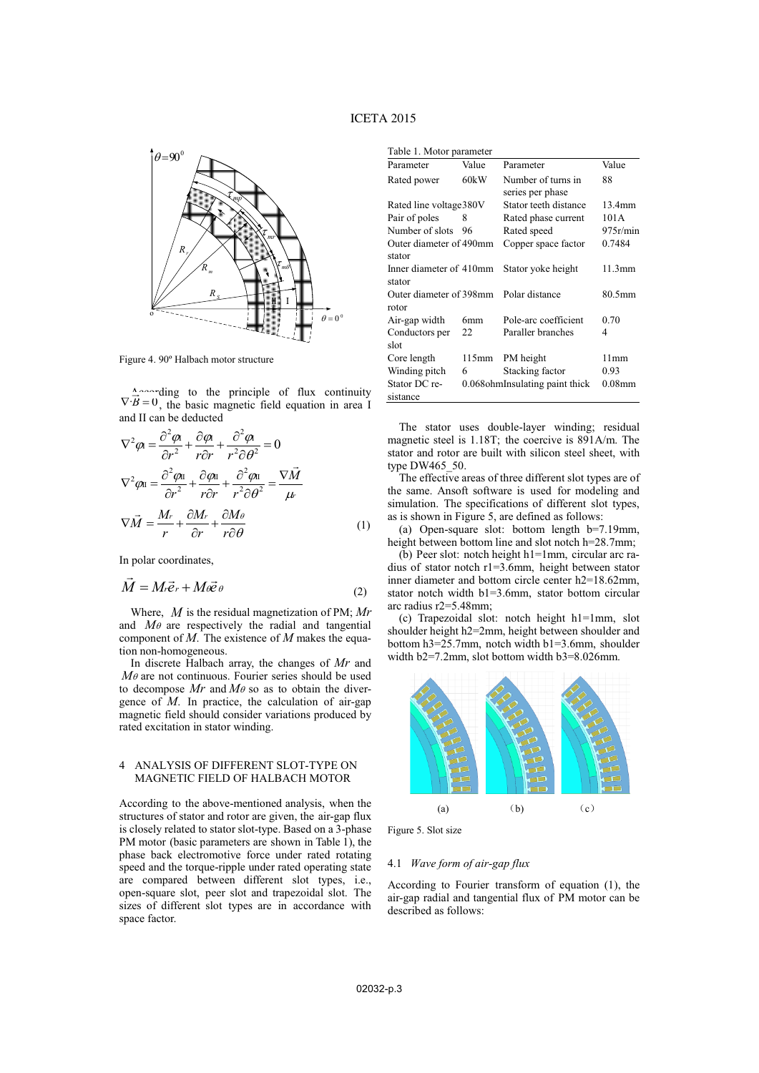

Figure 4. 90º Halbach motor structure

 $\nabla \cdot \vec{B} = 0$ , the basic magnetic field equation in area I and II can be deducted

$$
\nabla^2 \varphi = \frac{\partial^2 \varphi}{\partial r^2} + \frac{\partial \varphi}{r \partial r} + \frac{\partial^2 \varphi}{r^2 \partial \theta^2} = 0
$$
  

$$
\nabla^2 \varphi_{II} = \frac{\partial^2 \varphi_{II}}{\partial r^2} + \frac{\partial \varphi_{II}}{r \partial r} + \frac{\partial^2 \varphi_{II}}{r^2 \partial \theta^2} = \frac{\nabla \vec{M}}{\mu}
$$
  

$$
\nabla \vec{M} = \frac{M_r}{r} + \frac{\partial M_r}{\partial r} + \frac{\partial M_\theta}{r \partial \theta}
$$
 (1)

In polar coordinates,

$$
\vec{M} = M_r \vec{e}_r + M_\theta \vec{e}_\theta \tag{2}
$$

Where, *M* is the residual magnetization of PM; *Mr* and  $M\theta$  are respectively the radial and tangential component of *M*. The existence of *M* makes the equation non-homogeneous.

In discrete Halbach array, the changes of *Mr* and  $M\theta$  are not continuous. Fourier series should be used to decompose  $Mr$  and  $M\theta$  so as to obtain the divergence of *M*. In practice, the calculation of air-gap magnetic field should consider variations produced by rated excitation in stator winding.

## 4 ANALYSIS OF DIFFERENT SLOT-TYPE ON MAGNETIC FIELD OF HALBACH MOTOR

According to the above-mentioned analysis, when the structures of stator and rotor are given, the air-gap flux is closely related to stator slot-type. Based on a 3-phase PM motor (basic parameters are shown in Table 1), the phase back electromotive force under rated rotating speed and the torque-ripple under rated operating state are compared between different slot types, i.e., open-square slot, peer slot and trapezoidal slot. The sizes of different slot types are in accordance with space factor.

| Parameter                                       | Value | Parameter                        | Value     |
|-------------------------------------------------|-------|----------------------------------|-----------|
| Rated power                                     | 60kW  | Number of turns in               | 88        |
|                                                 |       | series per phase                 |           |
| Rated line voltage380V                          |       | Stator teeth distance            | 13.4mm    |
| Pair of poles                                   | 8     | Rated phase current              | 101A      |
| Number of slots 96                              |       | Rated speed                      | 975r/min  |
| Outer diameter of 490mm<br>stator               |       | Copper space factor              | 0.7484    |
| Inner diameter of 410mm<br>stator               |       | Stator yoke height               | 11.3mm    |
| Outer diameter of 398mm Polar distance<br>rotor |       |                                  | 80.5mm    |
| Air-gap width                                   | 6mm   | Pole-arc coefficient             | 0.70      |
| Conductors per                                  | 22    | Paraller branches                | 4         |
| slot                                            |       |                                  |           |
| Core length                                     | 115mm | PM height                        | 11mm      |
| Winding pitch                                   | 6 —   | Stacking factor                  | 0.93      |
| Stator DC re-<br>sistance                       |       | 0.068 ohm Insulating paint thick | $0.08$ mm |

The stator uses double-layer winding; residual magnetic steel is 1.18T; the coercive is 891A/m. The stator and rotor are built with silicon steel sheet, with type DW465\_50.

The effective areas of three different slot types are of the same. Ansoft software is used for modeling and simulation. The specifications of different slot types, as is shown in Figure 5, are defined as follows:

(a) Open-square slot: bottom length b=7.19mm, height between bottom line and slot notch h=28.7mm;

(b) Peer slot: notch height h1=1mm, circular arc radius of stator notch r1=3.6mm, height between stator inner diameter and bottom circle center h2=18.62mm, stator notch width b1=3.6mm, stator bottom circular arc radius r2=5.48mm;

(c) Trapezoidal slot: notch height h1=1mm, slot shoulder height h2=2mm, height between shoulder and bottom h3=25.7mm, notch width b1=3.6mm, shoulder width b2=7.2mm, slot bottom width b3=8.026mm.



Figure 5. Slot size

#### 4.1 *Wave form of air-gap flux*

According to Fourier transform of equation (1), the air-gap radial and tangential flux of PM motor can be described as follows: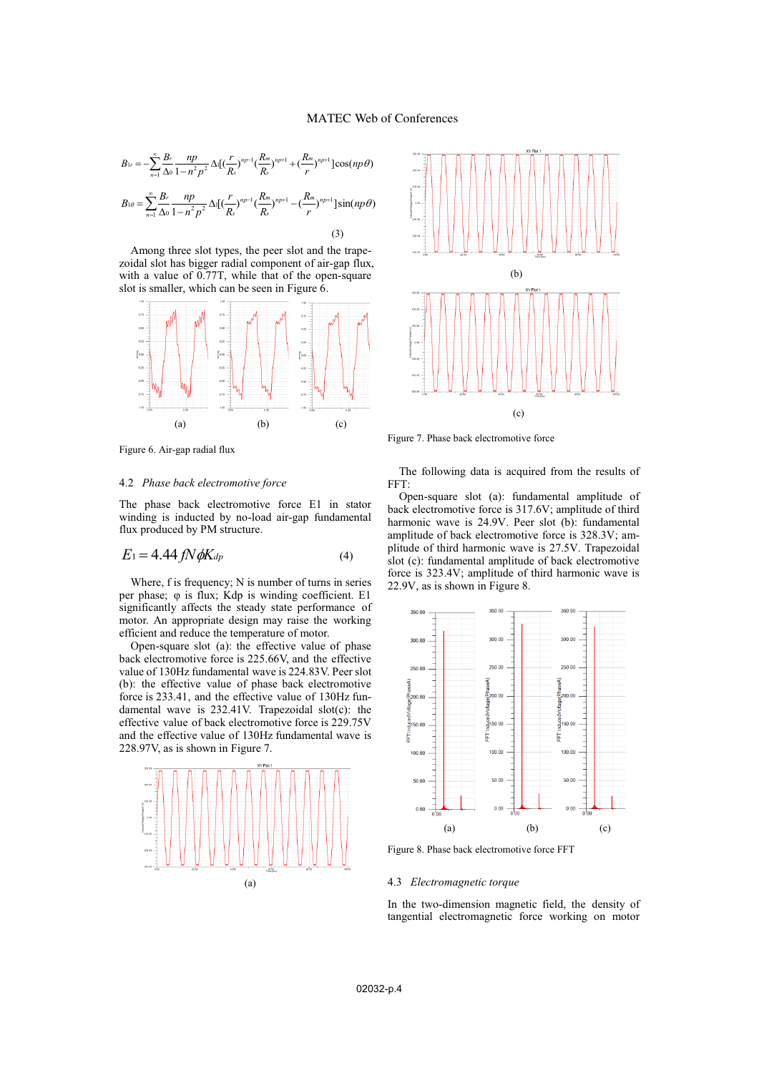## MATEC Web of Conferences

$$
B_{1r} = -\sum_{n=1}^{\infty} \frac{B_r}{\Delta_0} \frac{np}{1 - n^2 p^2} \Delta_1 \left[ \left( \frac{r}{R_s} \right)^{np-1} \left( \frac{R_m}{R_s} \right)^{np+1} + \left( \frac{R_m}{r} \right)^{np+1} \right] \cos(np\theta)
$$
  

$$
B_{1\theta} = \sum_{n=1}^{\infty} \frac{B_r}{\Delta_0} \frac{np}{1 - n^2 p^2} \Delta_1 \left[ \left( \frac{r}{R_s} \right)^{np-1} \left( \frac{R_m}{R_s} \right)^{np+1} - \left( \frac{R_m}{r} \right)^{np+1} \right] \sin(np\theta)
$$

Among three slot types, the peer slot and the trapezoidal slot has bigger radial component of air-gap flux, with a value of 0.77T, while that of the open-square slot is smaller, which can be seen in Figure 6.

(3)



Figure 6. Air-gap radial flux

#### 4.2 *Phase back electromotive force*

The phase back electromotive force E1 in stator winding is inducted by no-load air-gap fundamental flux produced by PM structure.

$$
E_1 = 4.44 fN \phi K_{dp} \tag{4}
$$

Where, f is frequency; N is number of turns in series per phase; φ is flux; Kdp is winding coefficient. E1 significantly affects the steady state performance of motor. An appropriate design may raise the working efficient and reduce the temperature of motor.

Open-square slot (a): the effective value of phase back electromotive force is 225.66V, and the effective value of 130Hz fundamental wave is 224.83V. Peer slot (b): the effective value of phase back electromotive force is 233.41, and the effective value of 130Hz fundamental wave is 232.41V. Trapezoidal slot(c): the effective value of back electromotive force is 229.75V and the effective value of 130Hz fundamental wave is 228.97V, as is shown in Figure 7.





Figure 7. Phase back electromotive force

The following data is acquired from the results of FFT:

Open-square slot (a): fundamental amplitude of back electromotive force is 317.6V; amplitude of third harmonic wave is 24.9V. Peer slot (b): fundamental amplitude of back electromotive force is 328.3V; amplitude of third harmonic wave is 27.5V. Trapezoidal slot (c): fundamental amplitude of back electromotive force is 323.4V; amplitude of third harmonic wave is 22.9V, as is shown in Figure 8.



Figure 8. Phase back electromotive force FFT

## 4.3 *Electromagnetic torque*

In the two-dimension magnetic field, the density of tangential electromagnetic force working on motor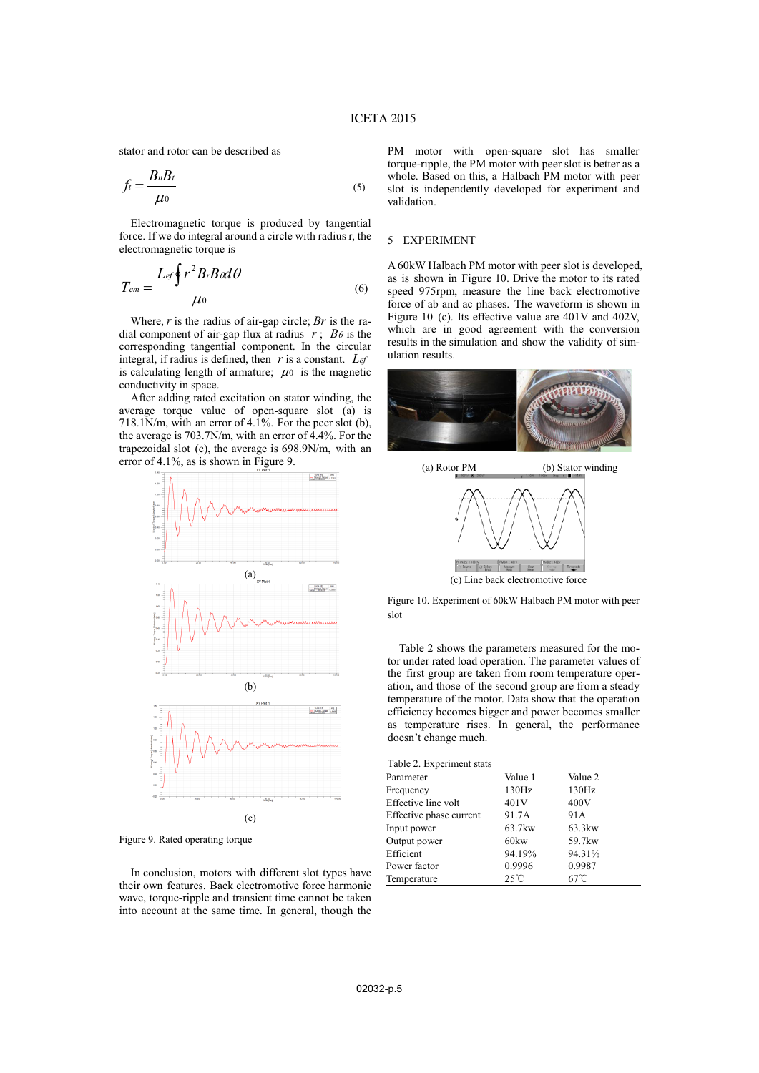stator and rotor can be described as

$$
f_t = \frac{B_n B_t}{\mu_0} \tag{5}
$$

Electromagnetic torque is produced by tangential force. If we do integral around a circle with radius r, the electromagnetic torque is

$$
T_{em} = \frac{L_{ef} \oint r^2 B r B d\theta}{\mu_0} \tag{6}
$$

Where, *r* is the radius of air-gap circle; *Br* is the radial component of air-gap flux at radius  $r$ ;  $B\theta$  is the corresponding tangential component. In the circular integral, if radius is defined, then *r* is a constant. *Lef* is calculating length of armature;  $\mu$ <sup>0</sup> is the magnetic conductivity in space.

After adding rated excitation on stator winding, the average torque value of open-square slot (a) is 718.1N/m, with an error of 4.1%. For the peer slot (b), the average is 703.7N/m, with an error of 4.4%. For the trapezoidal slot (c), the average is 698.9N/m, with an error of 4.1%, as is shown in Figure 9.



Figure 9. Rated operating torque

In conclusion, motors with different slot types have their own features. Back electromotive force harmonic wave, torque-ripple and transient time cannot be taken into account at the same time. In general, though the

PM motor with open-square slot has smaller torque-ripple, the PM motor with peer slot is better as a whole. Based on this, a Halbach PM motor with peer slot is independently developed for experiment and validation.

## 5 EXPERIMENT

A 60kW Halbach PM motor with peer slot is developed, as is shown in Figure 10. Drive the motor to its rated speed 975rpm, measure the line back electromotive force of ab and ac phases. The waveform is shown in Figure 10 (c). Its effective value are 401V and 402V, which are in good agreement with the conversion results in the simulation and show the validity of simulation results.





Figure 10. Experiment of 60kW Halbach PM motor with peer slot

Table 2 shows the parameters measured for the motor under rated load operation. The parameter values of the first group are taken from room temperature operation, and those of the second group are from a steady temperature of the motor. Data show that the operation efficiency becomes bigger and power becomes smaller as temperature rises. In general, the performance doesn't change much.

| Table 2. Experiment stats |                |                    |
|---------------------------|----------------|--------------------|
| Parameter                 | Value 1        | Value 2            |
| Frequency                 | 130Hz          | 130Hz              |
| Effective line volt       | 401V           | 400V               |
| Effective phase current   | 91.7A          | 91A                |
| Input power               | 63.7kw         | $63.3$ kw          |
| Output power              | $60$ kw        | 59.7 <sub>kw</sub> |
| Efficient                 | 94.19%         | 94.31%             |
| Power factor              | 0.9996         | 0.9987             |
| Temperature               | $25^{\circ}$ C | 67°C               |